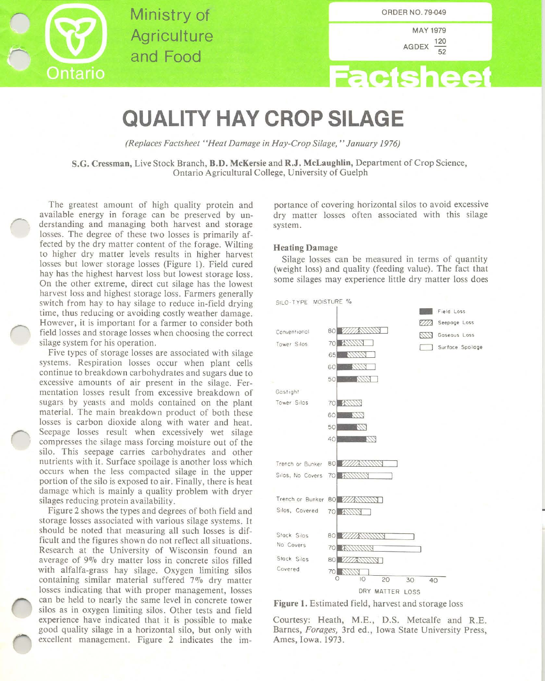

Ministry of **Agriculture** and Food

MAY 1979 AGDEX  $\frac{120}{52}$ 

# **Factsheet**

## **QUALITY HAY CROP SILAGE**

*(Replaces Factsheet "Heat Damage in Hay-Crop Silage,* " *January 1976)*

S.G. Cressman, Live Stock Branch, B.D. McKersie and R.J. McLaughlin, Department of Crop Science, Ontario Agricultural College, University of Guelph

The greatest amount of high quality protein and available energy in forage can be preserved by understanding and managing both harvest and storage losses. The degree of these two losses is primarily affected by the dry matter content of the forage. Wilting to higher dry matter levels results in higher harvest losses but lower storage losses (Figure I). Field cured hay has the highest harvest loss but lowest storage loss. On the other extreme, direct cut silage has the lowest harvest loss and highest storage loss. Farmers generally switch from hay to hay silage to reduce in-field drying time, thus reducing or avoiding costly weather damage. However, it is important for a farmer to consider both field losses and storage losses when choosing the correct silage system for his operation.

Five types of storage losses are associated with silage systems. Respiration losses occur when plant cells continue to breakdown carbohydrates and sugars due to excessive amounts of air present in the silage. Fermentation losses result from excessive breakdown of sugars by yeasts and molds contained on the plant material. The main breakdown product of both these losses is carbon dioxide along with water and heat. Seepage losses result when excessively wet silage compresses the silage mass forcing moisture out of the silo. This seepage carries carbohydrates and other nutrients with it. Surface spoilage is another loss which occurs when the less compacted silage in the upper portion of the silo is exposed to air. Finally, there is heat damage which is mainly a quality problem with dryer silages reducing protein availability.

Figure 2 shows the types and degrees of both field and storage losses associated with various silage systems. It should be noted that measuring all such losses is difficult and the figures shown do not reflect all situations. Research at the University of Wisconsin found an average of 9% dry matter loss in concrete silos filled with alfalfa-grass hay silage. Oxygen limiting silos containing similar material suffered 7% dry matter losses indicating that with proper management, losses can be held to nearly the same level in concrete tower silos as in oxygen limiting silos. Other tests and field experience have indicated that it is possible to make good quality silage in a horizontal silo, but only with excellent management. Figure 2 indicates the importance of covering horizontal silos to avoid excessive dry matter losses often associated with this silage system.

#### Heating Damage

Silage losses can be measured in terms of quantity (weight loss) and quality (feeding value). The fact that some silages may experience little dry matter loss does



Figure I. Estimated field, harvest and storage loss

Courtesy: Heath, M.E., D.S. Metcalfe and R.E. Barnes, *Forages,* 3rd ed., Iowa State University Press, Ames, Iowa. 1973.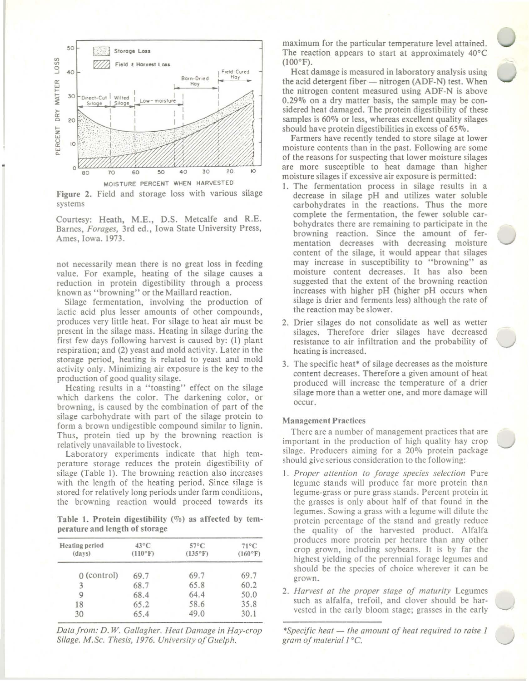

Figure 2. Field and storage loss with various silage **systems**

Courtesy: Heath, M.E., D.S. Metcalfe and R.E. Barnes, *Forages,* 3rd ed., Iowa State University Press, Ames, Iowa. 1973.

not necessarily mean there is no great loss in feeding value. For example, heating of the silage causes a reduction in protein digestibility through a process **known as "browning" or the Maillard reaction.**

Silage fermentation, involving the production of lactic acid plus lesser amounts of other compounds, produces very little heat. For silage to heat air must be present in the silage mass. Heating in silage during the first few days following harvest is caused by: (I) plant respiration; and (2) yeast and mold activity. Later in the storage period, heating is related to yeast and mold activity only. Minimizing air exposure is the key to the production of good quality silage.

Heating results in a "toasting" effect on the silage which darkens the color. The darkening color, or browning, is caused by the combination of part of the silage carbohydrate with part of the silage protein to form a brown undigestible compound similar to lignin. Thus, protein tied up by the browning reaction is relatively unavailable to livestock.

Laboratory experiments indicate that high temperature storage reduces the protein digestibility of silage (Table I). The browning reaction also increases with the length of the heating period. Since silage is stored for relatively long periods under farm conditions, the browning reaction would proceed towards its

Table 1. Protein digestibility  $(\%)$  as affected by temperature and length of storage

| Heating period<br>(days) | $43^{\circ}$ C<br>$(110^{\circ}F)$ | $57^{\circ}$ C<br>(135°F) | $71^{\circ}$ C<br>(160°F) |  |
|--------------------------|------------------------------------|---------------------------|---------------------------|--|
| $0$ (control)            | 69.7                               | 69.7                      | 69.7                      |  |
| 3                        | 68.7                               | 65.8                      | 60.2                      |  |
| 9                        | 68.4                               | 64.4                      | 50.0                      |  |
| 18                       | 65.2                               | 58.6                      | 35.8                      |  |
| 30                       | 65.4                               | 49.0                      | 30.1                      |  |

*Datafrom: D.* W. *Gallagher. Heat Damage in Hay-crop Silage. M.Sc. Thesis,* /976. *University ofGuelph.*

maximum for the particular temperature level attained. The reaction appears to start at approximately 40°C  $(100^{\circ}F).$ 

Heat damage is measured in laboratory analysis using the acid detergent fiber  $-$  nitrogen (ADF-N) test. When the nitrogen content measured using ADF-N is above 0.29% on a dry matter basis, the sample may be considered heat damaged. The protein digestibility of these samples is 60% or less, whereas excellent quality silages should have protein digestibilities in excess of 65%.

Farmers have recently tended to store silage at lower moisture contents than in the past. Following are some of the reasons for suspecting that lower moisture silages are more susceptible to heat damage than higher **moisture silages if excessive air exposure is permitted:**

- I. The fermentation process in silage results in a decrease in silage pH and utilizes water soluble carbohydrates in the reactions. Thus the more complete the fermentation, the fewer soluble carbohydrates there are remaining to participate in the browning reaction. Since the amount of fer**mentation decreases with decreasing moisture** content of the silage, it would appear that silages **may increase in susceptibility to "browning" as** moisture content decreases. It has also been suggested that the extent of the browning reaction increases with higher pH (higher pH occurs when silage is drier and ferments less) although the rate of the reaction may be slower.
- 2. Drier silages do not consolidate as well as wetter silages. Therefore drier silages have decreased resistance to air infiltration and the probability of heating is increased.
- 3. The specific heat' of silage decreases as the moisture content decreases. Therefore a given amount of heat produced will increase the temperature of a drier silage more than a wetter one, and more damage will **occur.**

#### Management Practices

**There are a number of management practices that are** important in the production of high quality hay crop silage. Producers aiming for a 20% protein package should give serious consideration to the following:

- *I. Proper attention to forage species selection* Pure legume stands will produce far more protein than **legume·grass or pure grass stands. Percent protein in** the grasses is only about half of that found in the legumes. Sowing a grass with a legume will dilute the protein percentage of the stand and greatly reduce the quality of the harvested product. Alfalfa **produces more protein per hectare than any other** crop grown, including soybeans. It is by far the highest yielding of the perennial forage legumes and should be the species of choice wherever it can be **grown.**
- *2. Harvest at the proper stage of maturity* Legumes such as alfalfa, trefoil, and clover should be harvested in the early bloom stage; grasses in the early

*'Specific heat* - *the amount of heat required to raise / gram of material 1°C.*